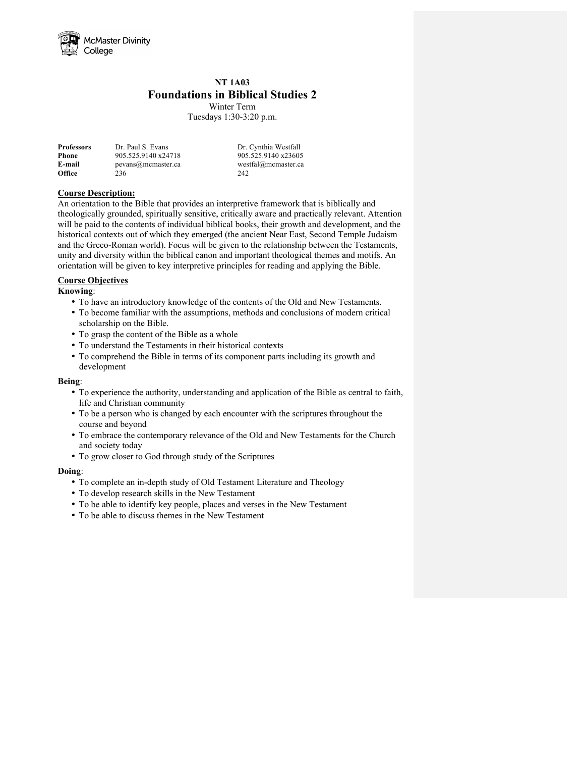

# **NT 1A03 Foundations in Biblical Studies 2**

Winter Term Tuesdays 1:30-3:20 p.m.

| <b>Professors</b> | Dr. Paul S. Evans   | Dr. Cynthia Westfall |
|-------------------|---------------------|----------------------|
| Phone             | 905.525.9140 x24718 | 905.525.9140 x23605  |
| E-mail            | pevans@mcmaster.ca  | westfal@mcmaster.ca  |
| <b>Office</b>     | 236                 | 242                  |

#### **Course Description:**

An orientation to the Bible that provides an interpretive framework that is biblically and theologically grounded, spiritually sensitive, critically aware and practically relevant. Attention will be paid to the contents of individual biblical books, their growth and development, and the historical contexts out of which they emerged (the ancient Near East, Second Temple Judaism and the Greco-Roman world). Focus will be given to the relationship between the Testaments, unity and diversity within the biblical canon and important theological themes and motifs. An orientation will be given to key interpretive principles for reading and applying the Bible.

#### **Course Objectives**

#### **Knowing**:

- To have an introductory knowledge of the contents of the Old and New Testaments.
- To become familiar with the assumptions, methods and conclusions of modern critical scholarship on the Bible.
- To grasp the content of the Bible as a whole
- To understand the Testaments in their historical contexts
- To comprehend the Bible in terms of its component parts including its growth and development

#### **Being**:

- To experience the authority, understanding and application of the Bible as central to faith, life and Christian community
- To be a person who is changed by each encounter with the scriptures throughout the course and beyond
- To embrace the contemporary relevance of the Old and New Testaments for the Church and society today
- To grow closer to God through study of the Scriptures

#### **Doing**:

- To complete an in-depth study of Old Testament Literature and Theology
- To develop research skills in the New Testament
- To be able to identify key people, places and verses in the New Testament
- To be able to discuss themes in the New Testament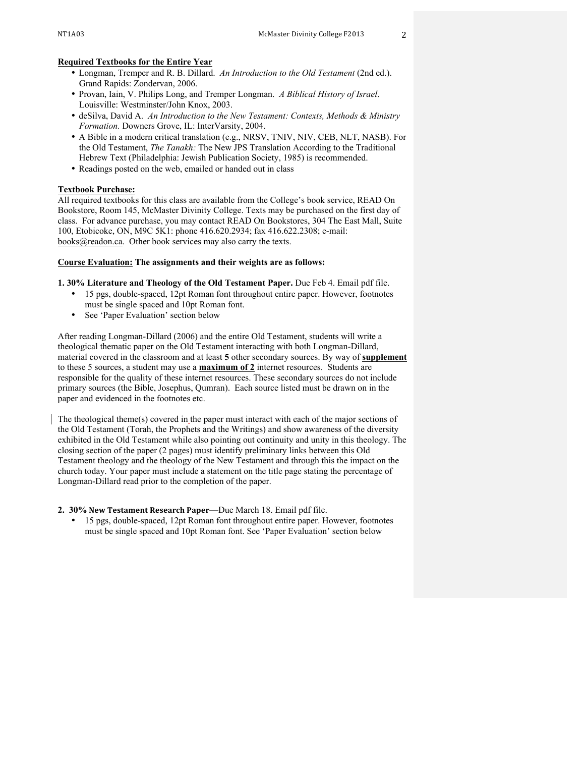#### **Required Textbooks for the Entire Year**

- Longman, Tremper and R. B. Dillard. *An Introduction to the Old Testament* (2nd ed.). Grand Rapids: Zondervan, 2006.
- Provan, Iain, V. Philips Long, and Tremper Longman. *A Biblical History of Israel*. Louisville: Westminster/John Knox, 2003.
- deSilva, David A. *An Introduction to the New Testament: Contexts, Methods & Ministry Formation.* Downers Grove, IL: InterVarsity, 2004.
- A Bible in a modern critical translation (e.g., NRSV, TNIV, NIV, CEB, NLT, NASB). For the Old Testament, *The Tanakh:* The New JPS Translation According to the Traditional Hebrew Text (Philadelphia: Jewish Publication Society, 1985) is recommended.
- Readings posted on the web, emailed or handed out in class

#### **Textbook Purchase:**

All required textbooks for this class are available from the College's book service, READ On Bookstore, Room 145, McMaster Divinity College. Texts may be purchased on the first day of class. For advance purchase, you may contact READ On Bookstores, 304 The East Mall, Suite 100, Etobicoke, ON, M9C 5K1: phone 416.620.2934; fax 416.622.2308; e-mail: books@readon.ca. Other book services may also carry the texts.

#### **Course Evaluation: The assignments and their weights are as follows:**

**1. 30% Literature and Theology of the Old Testament Paper.** Due Feb 4. Email pdf file.

- 15 pgs, double-spaced, 12pt Roman font throughout entire paper. However, footnotes must be single spaced and 10pt Roman font.
- See 'Paper Evaluation' section below

After reading Longman-Dillard (2006) and the entire Old Testament, students will write a theological thematic paper on the Old Testament interacting with both Longman-Dillard, material covered in the classroom and at least **5** other secondary sources. By way of **supplement** to these 5 sources, a student may use a **maximum of 2** internet resources. Students are responsible for the quality of these internet resources. These secondary sources do not include primary sources (the Bible, Josephus, Qumran). Each source listed must be drawn on in the paper and evidenced in the footnotes etc.

The theological theme(s) covered in the paper must interact with each of the major sections of the Old Testament (Torah, the Prophets and the Writings) and show awareness of the diversity exhibited in the Old Testament while also pointing out continuity and unity in this theology. The closing section of the paper (2 pages) must identify preliminary links between this Old Testament theology and the theology of the New Testament and through this the impact on the church today. Your paper must include a statement on the title page stating the percentage of Longman-Dillard read prior to the completion of the paper.

#### **2. 30% New Testament Research Paper**—Due March 18. Email pdf file.

• 15 pgs, double-spaced, 12pt Roman font throughout entire paper. However, footnotes must be single spaced and 10pt Roman font. See 'Paper Evaluation' section below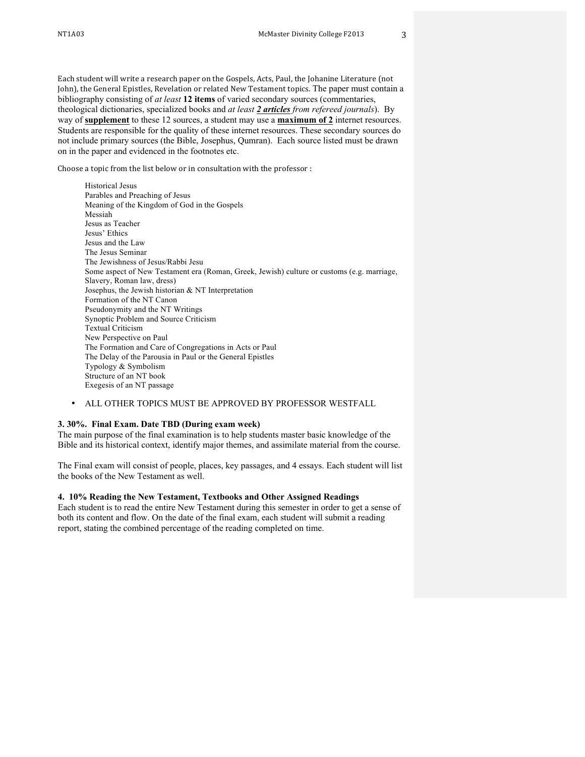Each student will write a research paper on the Gospels, Acts, Paul, the Johanine Literature (not John), the General Epistles, Revelation or related New Testament topics. The paper must contain a bibliography consisting of *at least* **12 items** of varied secondary sources (commentaries, theological dictionaries, specialized books and *at least 2 articles from refereed journals*). By way of **supplement** to these 12 sources, a student may use a **maximum of 2** internet resources. Students are responsible for the quality of these internet resources. These secondary sources do not include primary sources (the Bible, Josephus, Qumran). Each source listed must be drawn on in the paper and evidenced in the footnotes etc.

Choose a topic from the list below or in consultation with the professor :

Historical Jesus Parables and Preaching of Jesus Meaning of the Kingdom of God in the Gospels Messiah Jesus as Teacher Jesus' Ethics Jesus and the Law The Jesus Seminar The Jewishness of Jesus/Rabbi Jesu Some aspect of New Testament era (Roman, Greek, Jewish) culture or customs (e.g. marriage, Slavery, Roman law, dress) Josephus, the Jewish historian & NT Interpretation Formation of the NT Canon Pseudonymity and the NT Writings Synoptic Problem and Source Criticism Textual Criticism New Perspective on Paul The Formation and Care of Congregations in Acts or Paul The Delay of the Parousia in Paul or the General Epistles Typology & Symbolism Structure of an NT book Exegesis of an NT passage

#### • ALL OTHER TOPICS MUST BE APPROVED BY PROFESSOR WESTFALL

#### **3. 30%. Final Exam. Date TBD (During exam week)**

The main purpose of the final examination is to help students master basic knowledge of the Bible and its historical context, identify major themes, and assimilate material from the course.

The Final exam will consist of people, places, key passages, and 4 essays. Each student will list the books of the New Testament as well.

#### **4. 10% Reading the New Testament, Textbooks and Other Assigned Readings**

Each student is to read the entire New Testament during this semester in order to get a sense of both its content and flow. On the date of the final exam, each student will submit a reading report, stating the combined percentage of the reading completed on time.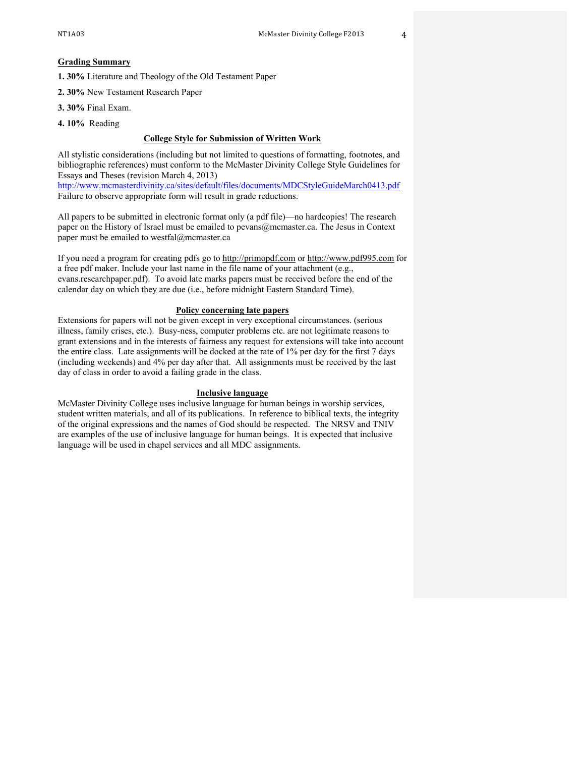#### **Grading Summary**

**1. 30%** Literature and Theology of the Old Testament Paper

**2. 30%** New Testament Research Paper

- **3. 30%** Final Exam.
- **4. 10%** Reading

#### **College Style for Submission of Written Work**

All stylistic considerations (including but not limited to questions of formatting, footnotes, and bibliographic references) must conform to the McMaster Divinity College Style Guidelines for Essays and Theses (revision March 4, 2013)

http://www.mcmasterdivinity.ca/sites/default/files/documents/MDCStyleGuideMarch0413.pdf Failure to observe appropriate form will result in grade reductions.

All papers to be submitted in electronic format only (a pdf file)—no hardcopies! The research paper on the History of Israel must be emailed to pevans@mcmaster.ca. The Jesus in Context paper must be emailed to westfal@mcmaster.ca

If you need a program for creating pdfs go to http://primopdf.com or http://www.pdf995.com for a free pdf maker. Include your last name in the file name of your attachment (e.g., evans.researchpaper.pdf). To avoid late marks papers must be received before the end of the calendar day on which they are due (i.e., before midnight Eastern Standard Time).

#### **Policy concerning late papers**

Extensions for papers will not be given except in very exceptional circumstances. (serious illness, family crises, etc.). Busy-ness, computer problems etc. are not legitimate reasons to grant extensions and in the interests of fairness any request for extensions will take into account the entire class. Late assignments will be docked at the rate of 1% per day for the first 7 days (including weekends) and 4% per day after that. All assignments must be received by the last day of class in order to avoid a failing grade in the class.

#### **Inclusive language**

McMaster Divinity College uses inclusive language for human beings in worship services, student written materials, and all of its publications. In reference to biblical texts, the integrity of the original expressions and the names of God should be respected. The NRSV and TNIV are examples of the use of inclusive language for human beings. It is expected that inclusive language will be used in chapel services and all MDC assignments.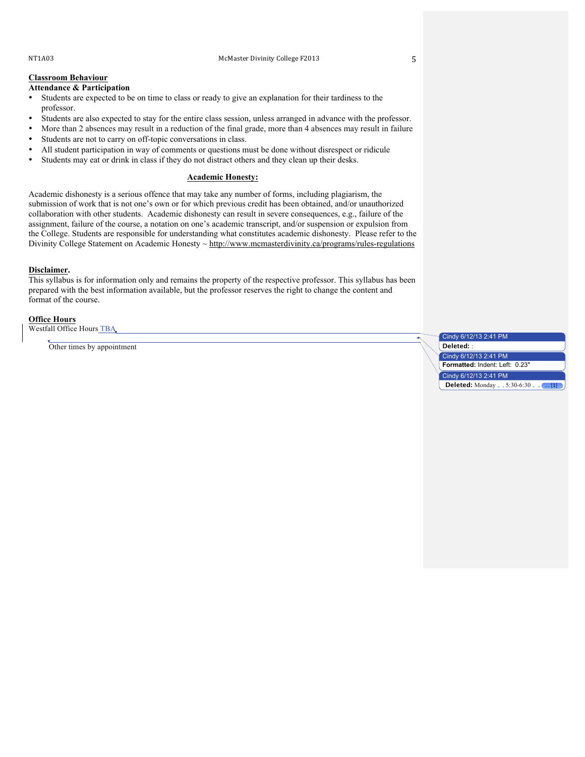#### NT1A03 McMaster Divinity College F2013 5

# **Classroom Behaviour**

### **Attendance & Participation**

- Students are expected to be on time to class or ready to give an explanation for their tardiness to the professor.
- Students are also expected to stay for the entire class session, unless arranged in advance with the professor.
- More than 2 absences may result in a reduction of the final grade, more than 4 absences may result in failure
- Students are not to carry on off-topic conversations in class.
- All student participation in way of comments or questions must be done without disrespect or ridicule
- Students may eat or drink in class if they do not distract others and they clean up their desks.

#### **Academic Honesty:**

Academic dishonesty is a serious offence that may take any number of forms, including plagiarism, the submission of work that is not one's own or for which previous credit has been obtained, and/or unauthorized collaboration with other students. Academic dishonesty can result in severe consequences, e.g., failure of the assignment, failure of the course, a notation on one's academic transcript, and/or suspension or expulsion from the College. Students are responsible for understanding what constitutes academic dishonesty. Please refer to the Divinity College Statement on Academic Honesty ~ http://www.mcmasterdivinity.ca/programs/rules-regulations

#### **Disclaimer.**

This syllabus is for information only and remains the property of the respective professor. This syllabus has been prepared with the best information available, but the professor reserves the right to change the content and format of the course.

#### **Office Hours**

Westfall Office Hours TBA

Other times by appointment

Cindy 6/12/13 2:41 PM **Deleted:** : Cindy 6/12/13 2:41 PM **Formatted:** Indent: Left: 0.23" Cindy 6/12/13 2:41 PM **Deleted:** Monday 5:30-6:30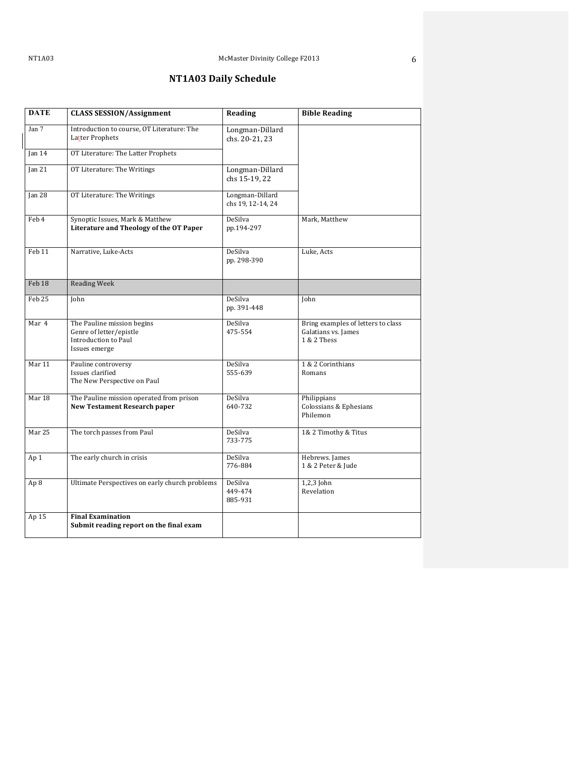# **NT1A03 Daily Schedule**

| <b>DATE</b>       | <b>CLASS SESSION/Assignment</b>                                                                | Reading                              | <b>Bible Reading</b>                                                     |
|-------------------|------------------------------------------------------------------------------------------------|--------------------------------------|--------------------------------------------------------------------------|
| Jan 7             | Introduction to course, OT Literature: The<br>Latter Prophets                                  | Longman-Dillard<br>chs. 20-21, 23    |                                                                          |
| Jan $14$          | OT Literature: The Latter Prophets                                                             |                                      |                                                                          |
| Jan $21$          | OT Literature: The Writings                                                                    | Longman-Dillard<br>chs 15-19, 22     |                                                                          |
| Jan <sub>28</sub> | OT Literature: The Writings                                                                    | Longman-Dillard<br>chs 19, 12-14, 24 |                                                                          |
| Feb 4             | Synoptic Issues, Mark & Matthew<br>Literature and Theology of the OT Paper                     | DeSilva<br>pp.194-297                | Mark, Matthew                                                            |
| Feb 11            | Narrative, Luke-Acts                                                                           | DeSilva<br>pp. 298-390               | Luke, Acts                                                               |
| Feb 18            | <b>Reading Week</b>                                                                            |                                      |                                                                          |
| Feb 25            | John                                                                                           | DeSilva<br>pp. 391-448               | John                                                                     |
| Mar 4             | The Pauline mission begins<br>Genre of letter/epistle<br>Introduction to Paul<br>Issues emerge | DeSilva<br>475-554                   | Bring examples of letters to class<br>Galatians vs. James<br>1 & 2 Thess |
| Mar 11            | Pauline controversy<br>Issues clarified<br>The New Perspective on Paul                         | DeSilva<br>555-639                   | 1 & 2 Corinthians<br>Romans                                              |
| Mar 18            | The Pauline mission operated from prison<br><b>New Testament Research paper</b>                | DeSilva<br>640-732                   | Philippians<br>Colossians & Ephesians<br>Philemon                        |
| Mar 25            | The torch passes from Paul                                                                     | DeSilva<br>733-775                   | 1& 2 Timothy & Titus                                                     |
| Ap 1              | The early church in crisis                                                                     | DeSilva<br>776-884                   | Hebrews. James<br>1 & 2 Peter & Jude                                     |
| Ap 8              | Ultimate Perspectives on early church problems                                                 | DeSilva<br>449-474<br>885-931        | $1,2,3$ John<br>Revelation                                               |
| Ap 15             | <b>Final Examination</b><br>Submit reading report on the final exam                            |                                      |                                                                          |